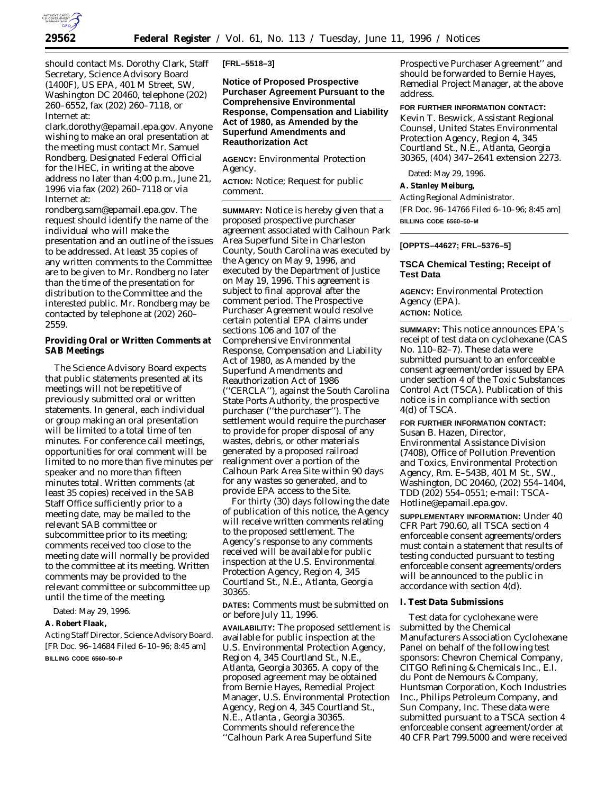

should contact Ms. Dorothy Clark, Staff Secretary, Science Advisory Board (1400F), US EPA, 401 M Street, SW, Washington DC 20460, telephone (202) 260–6552, fax (202) 260–7118, or Internet at:

clark.dorothy@epamail.epa.gov. Anyone wishing to make an oral presentation at the meeting *must* contact Mr. Samuel Rondberg, Designated Federal Official for the IHEC, in *writing* at the above address no later than 4:00 p.m., June 21, 1996 via fax (202) 260–7118 or via Internet at:

rondberg.sam@epamail.epa.gov. The request should identify the name of the individual who will make the presentation and an outline of the issues to be addressed. At least 35 copies of any written comments to the Committee are to be given to Mr. Rondberg no later than the time of the presentation for distribution to the Committee and the interested public. Mr. Rondberg may be contacted by telephone at (202) 260– 2559.

**Providing Oral or Written Comments at SAB Meetings**

The Science Advisory Board expects that public statements presented at its meetings will not be repetitive of previously submitted oral or written statements. In general, each individual or group making an oral presentation will be limited to a total time of ten minutes. For conference call meetings, opportunities for oral comment will be limited to no more than five minutes per speaker and no more than fifteen minutes total. Written comments (at least 35 copies) received in the SAB Staff Office sufficiently prior to a meeting date, may be mailed to the relevant SAB committee or subcommittee prior to its meeting; comments received too close to the meeting date will normally be provided to the committee at its meeting. Written comments may be provided to the relevant committee or subcommittee up until the time of the meeting.

Dated: May 29, 1996.

**A. Robert Flaak,**

*Acting Staff Director, Science Advisory Board.* [FR Doc. 96–14684 Filed 6–10–96; 8:45 am]

**BILLING CODE 6560–50–P**

**[FRL–5518–3]**

**Notice of Proposed Prospective Purchaser Agreement Pursuant to the Comprehensive Environmental Response, Compensation and Liability Act of 1980, as Amended by the Superfund Amendments and Reauthorization Act**

**AGENCY:** Environmental Protection Agency.

**ACTION:** Notice; Request for public comment.

**SUMMARY:** Notice is hereby given that a proposed prospective purchaser agreement associated with Calhoun Park Area Superfund Site in Charleston County, South Carolina was executed by the Agency on May 9, 1996, and executed by the Department of Justice on May 19, 1996. This agreement is subject to final approval after the comment period. The Prospective Purchaser Agreement would resolve certain potential EPA claims under sections 106 and 107 of the Comprehensive Environmental Response, Compensation and Liability Act of 1980, as Amended by the Superfund Amendments and Reauthorization Act of 1986 (''CERCLA''), against the South Carolina State Ports Authority, the prospective purchaser (''the purchaser''). The settlement would require the purchaser to provide for proper disposal of any wastes, debris, or other materials generated by a proposed railroad realignment over a portion of the Calhoun Park Area Site within 90 days for any wastes so generated, and to provide EPA access to the Site.

For thirty (30) days following the date of publication of this notice, the Agency will receive written comments relating to the proposed settlement. The Agency's response to any comments received will be available for public inspection at the U.S. Environmental Protection Agency, Region 4, 345 Courtland St., N.E., Atlanta, Georgia 30365.

**DATES:** Comments must be submitted on or before July 11, 1996.

**AVAILABILITY:** The proposed settlement is available for public inspection at the U.S. Environmental Protection Agency, Region 4, 345 Courtland St., N.E., Atlanta, Georgia 30365. A copy of the proposed agreement may be obtained from Bernie Hayes, Remedial Project Manager, U.S. Environmental Protection Agency, Region 4, 345 Courtland St., N.E., Atlanta , Georgia 30365. Comments should reference the ''Calhoun Park Area Superfund Site

Prospective Purchaser Agreement'' and should be forwarded to Bernie Hayes, Remedial Project Manager, at the above address.

**FOR FURTHER INFORMATION CONTACT:** Kevin T. Beswick, Assistant Regional Counsel, United States Environmental Protection Agency, Region 4, 345 Courtland St., N.E., Atlanta, Georgia 30365, (404) 347–2641 extension 2273.

Dated: May 29, 1996.

**A. Stanley Meiburg,**

*Acting Regional Administrator.*

[FR Doc. 96–14766 Filed 6–10–96; 8:45 am] **BILLING CODE 6560–50–M**

### **[OPPTS–44627; FRL–5376–5]**

# **TSCA Chemical Testing; Receipt of Test Data**

**AGENCY:** Environmental Protection Agency (EPA). **ACTION:** Notice.

**SUMMARY:** This notice announces EPA's receipt of test data on cyclohexane (CAS No. 110–82–7). These data were submitted pursuant to an enforceable consent agreement/order issued by EPA under section 4 of the Toxic Substances Control Act (TSCA). Publication of this notice is in compliance with section 4(d) of TSCA.

**FOR FURTHER INFORMATION CONTACT:** Susan B. Hazen, Director, Environmental Assistance Division (7408), Office of Pollution Prevention and Toxics, Environmental Protection Agency, Rm. E–543B, 401 M St., SW., Washington, DC 20460, (202) 554–1404, TDD (202) 554–0551; e-mail: TSCA-Hotline@epamail.epa.gov.

**SUPPLEMENTARY INFORMATION:** Under 40 CFR Part 790.60, all TSCA section 4 enforceable consent agreements/orders must contain a statement that results of testing conducted pursuant to testing enforceable consent agreements/orders will be announced to the public in accordance with section 4(d).

## **I. Test Data Submissions**

Test data for cyclohexane were submitted by the Chemical Manufacturers Association Cyclohexane Panel on behalf of the following test sponsors: Chevron Chemical Company, CITGO Refining & Chemicals Inc., E.I. du Pont de Nemours & Company, Huntsman Corporation, Koch Industries Inc., Philips Petroleum Company, and Sun Company, Inc. These data were submitted pursuant to a TSCA section 4 enforceable consent agreement/order at 40 CFR Part 799.5000 and were received